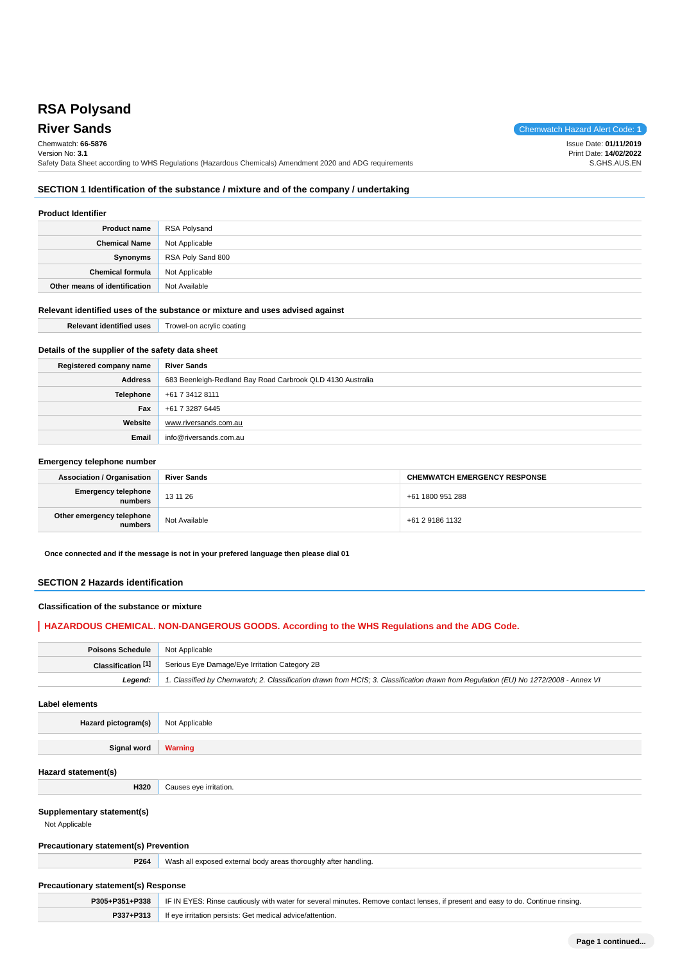# **RSA Polysand**

**River Sands** Chemwatch Hazard Alert Code: 1 Chemwatch: **66-5876** Version No: **3.1** Safety Data Sheet according to WHS Regulations (Hazardous Chemicals) Amendment 2020 and ADG requirements

Issue Date: **01/11/2019**

Print Date: **14/02/2022** S.GHS.AUS.EN

## **SECTION 1 Identification of the substance / mixture and of the company / undertaking**

#### **Product Identifier**

| <b>Product name</b>           | <b>RSA Polysand</b> |
|-------------------------------|---------------------|
| <b>Chemical Name</b>          | Not Applicable      |
| Synonyms                      | RSA Poly Sand 800   |
| <b>Chemical formula</b>       | Not Applicable      |
| Other means of identification | Not Available       |

#### **Relevant identified uses of the substance or mixture and uses advised against**

| Relevant<br>r Identitied<br>uses | ⊺rowel-on<br>uno |
|----------------------------------|------------------|
|                                  |                  |

## **Details of the supplier of the safety data sheet**

| Registered company name | <b>River Sands</b>                                         |
|-------------------------|------------------------------------------------------------|
| <b>Address</b>          | 683 Beenleigh-Redland Bay Road Carbrook QLD 4130 Australia |
| <b>Telephone</b>        | +61 7 3412 8111                                            |
| Fax                     | +61 7 3287 6445                                            |
| Website                 | www.riversands.com.au                                      |
| Email                   | info@riversands.com.au                                     |

#### **Emergency telephone number**

| <b>Association / Organisation</b>    | <b>River Sands</b> | <b>CHEMWATCH EMERGENCY RESPONSE</b> |
|--------------------------------------|--------------------|-------------------------------------|
| Emergency telephone<br>  numbers     | 131126             | +61 1800 951 288                    |
| Other emergency telephone<br>numbers | Not Available      | +61 2 9186 1132                     |

**Once connected and if the message is not in your prefered language then please dial 01**

#### **SECTION 2 Hazards identification**

#### **Classification of the substance or mixture**

## **HAZARDOUS CHEMICAL. NON-DANGEROUS GOODS. According to the WHS Regulations and the ADG Code.**

| Poisons Schedule   | Not Applicable                                                                                                                      |
|--------------------|-------------------------------------------------------------------------------------------------------------------------------------|
| Classification [1] | Serious Eye Damage/Eye Irritation Category 2B                                                                                       |
| Leaend:            | 1. Classified by Chemwatch; 2. Classification drawn from HCIS; 3. Classification drawn from Regulation (EU) No 1272/2008 - Annex VI |

**Label elements**

**Hazard pictogram(s)** Not Applicable

**Signal word Warning**

#### **Hazard statement(s)**

#### **Supplementary statement(s)**

Not Applicable

#### **Precautionary statement(s) Prevention**

**H320** Causes eye irritation.

**P264** Wash all exposed external body areas thoroughly after handling.

## **Precautionary statement(s) Response**

|           | P305+P351+P338   IF IN EYES: Rinse cautiously with water for several minutes. Remove contact lenses, if present and easy to do. Continue rinsing. |
|-----------|---------------------------------------------------------------------------------------------------------------------------------------------------|
| P337+P313 | If eye irritation persists: Get medical advice/attention.                                                                                         |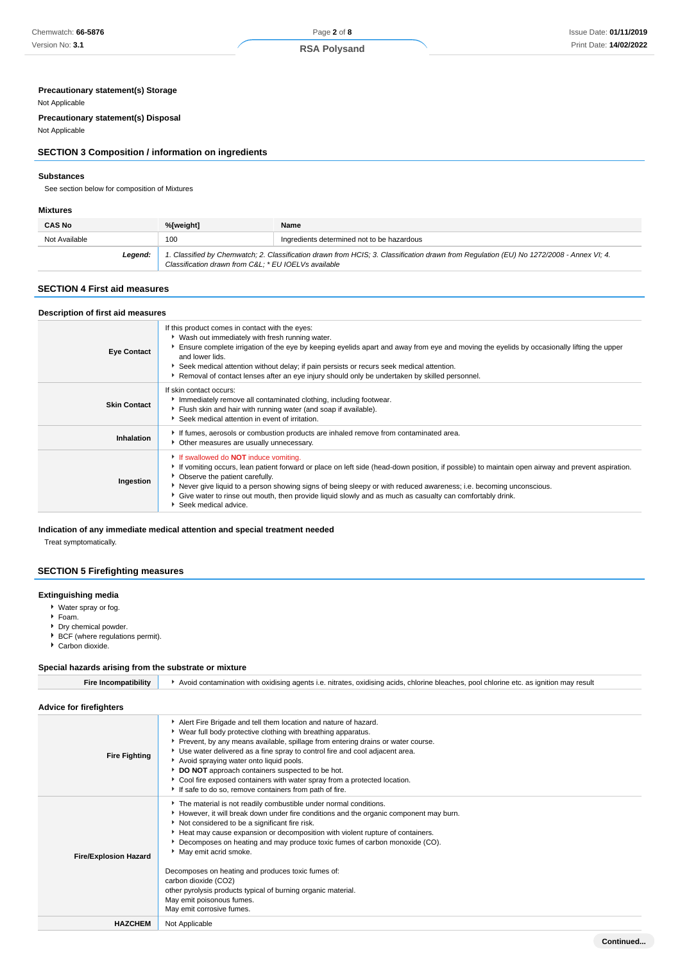## **Precautionary statement(s) Storage**

## Not Applicable

**Precautionary statement(s) Disposal**

# Not Applicable

## **SECTION 3 Composition / information on ingredients**

## **Substances**

See section below for composition of Mixtures

## **Mixtures**

| <b>CAS No</b> | %[weight]                                           | Name                                                                                                                                    |
|---------------|-----------------------------------------------------|-----------------------------------------------------------------------------------------------------------------------------------------|
| Not Available | 100                                                 | Ingredients determined not to be hazardous                                                                                              |
| Legend:       | Classification drawn from C&L * EU IOELVs available | 1. Classified by Chemwatch; 2. Classification drawn from HCIS; 3. Classification drawn from Regulation (EU) No 1272/2008 - Annex VI; 4. |

## **SECTION 4 First aid measures**

| Description of first aid measures |                                                                                                                                                                                                                                                                                                                                                                                                                                                                                                |
|-----------------------------------|------------------------------------------------------------------------------------------------------------------------------------------------------------------------------------------------------------------------------------------------------------------------------------------------------------------------------------------------------------------------------------------------------------------------------------------------------------------------------------------------|
| <b>Eye Contact</b>                | If this product comes in contact with the eyes:<br>• Wash out immediately with fresh running water.<br>Ensure complete irrigation of the eye by keeping eyelids apart and away from eye and moving the eyelids by occasionally lifting the upper<br>and lower lids.<br>Seek medical attention without delay; if pain persists or recurs seek medical attention.<br>▶ Removal of contact lenses after an eye injury should only be undertaken by skilled personnel.                             |
| <b>Skin Contact</b>               | If skin contact occurs:<br>Immediately remove all contaminated clothing, including footwear.<br>Flush skin and hair with running water (and soap if available).<br>Seek medical attention in event of irritation.                                                                                                                                                                                                                                                                              |
| Inhalation                        | If fumes, aerosols or combustion products are inhaled remove from contaminated area.<br>• Other measures are usually unnecessary.                                                                                                                                                                                                                                                                                                                                                              |
| Ingestion                         | If swallowed do <b>NOT</b> induce vomiting.<br>If vomiting occurs, lean patient forward or place on left side (head-down position, if possible) to maintain open airway and prevent aspiration.<br>• Observe the patient carefully.<br>▶ Never give liquid to a person showing signs of being sleepy or with reduced awareness; i.e. becoming unconscious.<br>Give water to rinse out mouth, then provide liquid slowly and as much as casualty can comfortably drink.<br>Seek medical advice. |

## **Indication of any immediate medical attention and special treatment needed**

Treat symptomatically.

# **SECTION 5 Firefighting measures**

## **Extinguishing media**

- Water spray or fog.
- Foam.
- Dry chemical powder.
- BCF (where regulations permit). Carbon dioxide.
- 

# **Special hazards arising from the substrate or mixture**

| <b>Fire Incompatibility</b>    | Avoid contamination with oxidising agents i.e. nitrates, oxidising acids, chlorine bleaches, pool chlorine etc. as ignition may result                                                                                                                                                                                                                                                                                                                                                                                                                                                                      |  |
|--------------------------------|-------------------------------------------------------------------------------------------------------------------------------------------------------------------------------------------------------------------------------------------------------------------------------------------------------------------------------------------------------------------------------------------------------------------------------------------------------------------------------------------------------------------------------------------------------------------------------------------------------------|--|
| <b>Advice for firefighters</b> |                                                                                                                                                                                                                                                                                                                                                                                                                                                                                                                                                                                                             |  |
| <b>Fire Fighting</b>           | Alert Fire Brigade and tell them location and nature of hazard.<br>• Wear full body protective clothing with breathing apparatus.<br>Prevent, by any means available, spillage from entering drains or water course.<br>Use water delivered as a fine spray to control fire and cool adjacent area.<br>Avoid spraying water onto liquid pools.<br>DO NOT approach containers suspected to be hot.<br>Cool fire exposed containers with water spray from a protected location.<br>If safe to do so, remove containers from path of fire.                                                                     |  |
| <b>Fire/Explosion Hazard</b>   | The material is not readily combustible under normal conditions.<br>However, it will break down under fire conditions and the organic component may burn.<br>Not considered to be a significant fire risk.<br>Heat may cause expansion or decomposition with violent rupture of containers.<br>Decomposes on heating and may produce toxic fumes of carbon monoxide (CO).<br>May emit acrid smoke.<br>Decomposes on heating and produces toxic fumes of:<br>carbon dioxide (CO2)<br>other pyrolysis products typical of burning organic material.<br>May emit poisonous fumes.<br>May emit corrosive fumes. |  |
| <b>HAZCHEM</b>                 | Not Applicable                                                                                                                                                                                                                                                                                                                                                                                                                                                                                                                                                                                              |  |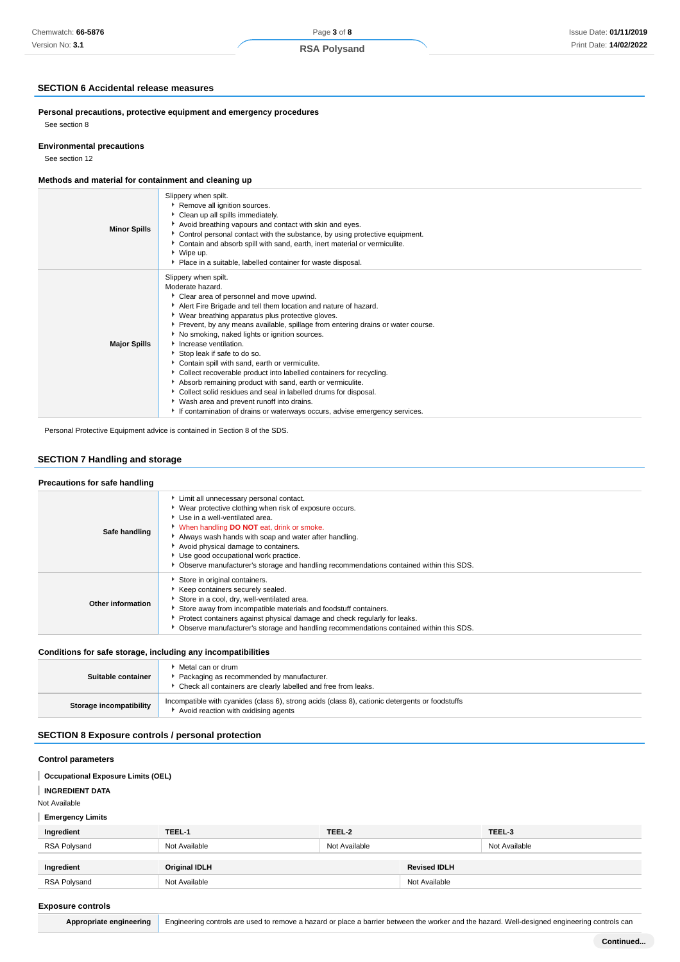## **SECTION 6 Accidental release measures**

**Personal precautions, protective equipment and emergency procedures** See section 8

#### **Environmental precautions**

See section 12

## **Methods and material for containment and cleaning up**

| <b>Minor Spills</b> | Slippery when spilt.<br>Remove all ignition sources.<br>Clean up all spills immediately.<br>Avoid breathing vapours and contact with skin and eyes.<br>Control personal contact with the substance, by using protective equipment.<br>Contain and absorb spill with sand, earth, inert material or vermiculite.<br>▶ Wipe up.<br>• Place in a suitable, labelled container for waste disposal.                                                                                                                                                                                                                                                                                                                                                                                                      |
|---------------------|-----------------------------------------------------------------------------------------------------------------------------------------------------------------------------------------------------------------------------------------------------------------------------------------------------------------------------------------------------------------------------------------------------------------------------------------------------------------------------------------------------------------------------------------------------------------------------------------------------------------------------------------------------------------------------------------------------------------------------------------------------------------------------------------------------|
| <b>Major Spills</b> | Slippery when spilt.<br>Moderate hazard.<br>Clear area of personnel and move upwind.<br>Alert Fire Brigade and tell them location and nature of hazard.<br>▶ Wear breathing apparatus plus protective gloves.<br>▶ Prevent, by any means available, spillage from entering drains or water course.<br>▶ No smoking, naked lights or ignition sources.<br>Increase ventilation.<br>Stop leak if safe to do so.<br>Contain spill with sand, earth or vermiculite.<br>Collect recoverable product into labelled containers for recycling.<br>Absorb remaining product with sand, earth or vermiculite.<br>Collect solid residues and seal in labelled drums for disposal.<br>▶ Wash area and prevent runoff into drains.<br>If contamination of drains or waterways occurs, advise emergency services. |

Personal Protective Equipment advice is contained in Section 8 of the SDS.

## **SECTION 7 Handling and storage**

## **Precautions for safe handling**

| Safe handling     | Limit all unnecessary personal contact.<br>▶ Wear protective clothing when risk of exposure occurs.<br>Use in a well-ventilated area.<br>V When handling DO NOT eat, drink or smoke.<br>Always wash hands with soap and water after handling.<br>Avoid physical damage to containers.<br>Use good occupational work practice.<br>▶ Observe manufacturer's storage and handling recommendations contained within this SDS. |
|-------------------|---------------------------------------------------------------------------------------------------------------------------------------------------------------------------------------------------------------------------------------------------------------------------------------------------------------------------------------------------------------------------------------------------------------------------|
| Other information | Store in original containers.<br>▶ Keep containers securely sealed.<br>Store in a cool, dry, well-ventilated area.<br>Store away from incompatible materials and foodstuff containers.<br>Protect containers against physical damage and check regularly for leaks.<br>• Observe manufacturer's storage and handling recommendations contained within this SDS.                                                           |

## **Conditions for safe storage, including any incompatibilities**

| Suitable container      | Metal can or drum<br>Packaging as recommended by manufacturer.<br>• Check all containers are clearly labelled and free from leaks.      |
|-------------------------|-----------------------------------------------------------------------------------------------------------------------------------------|
| Storage incompatibility | Incompatible with cyanides (class 6), strong acids (class 8), cationic detergents or foodstuffs<br>Avoid reaction with oxidising agents |

## **SECTION 8 Exposure controls / personal protection**

## **Control parameters**

## **Occupational Exposure Limits (OEL)**

**INGREDIENT DATA**

Not Available

**Emergency Limits**

| .            |               |               |                     |               |
|--------------|---------------|---------------|---------------------|---------------|
| Ingredient   | TEEL-1        | TEEL-2        |                     | TEEL-3        |
| RSA Polysand | Not Available | Not Available |                     | Not Available |
|              |               |               |                     |               |
| Ingredient   | Original IDLH |               | <b>Revised IDLH</b> |               |
| RSA Polysand | Not Available |               | Not Available       |               |
|              |               |               |                     |               |

#### **Exposure controls**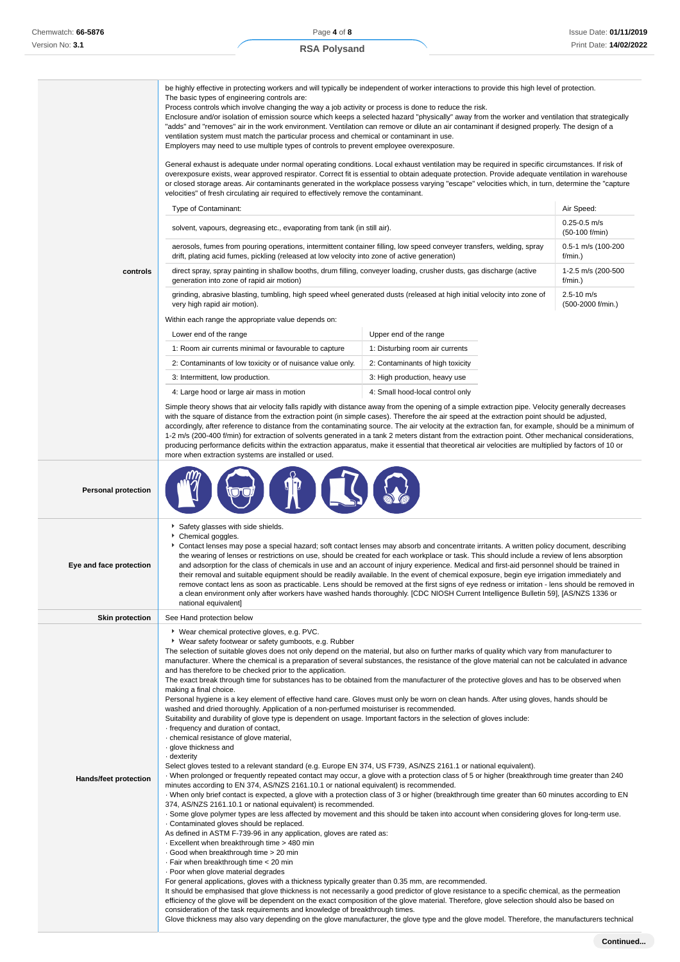|                              | be highly effective in protecting workers and will typically be independent of worker interactions to provide this high level of protection.<br>The basic types of engineering controls are:<br>Process controls which involve changing the way a job activity or process is done to reduce the risk.<br>Enclosure and/or isolation of emission source which keeps a selected hazard "physically" away from the worker and ventilation that strategically<br>"adds" and "removes" air in the work environment. Ventilation can remove or dilute an air contaminant if designed properly. The design of a<br>ventilation system must match the particular process and chemical or contaminant in use.<br>Employers may need to use multiple types of controls to prevent employee overexposure.<br>General exhaust is adequate under normal operating conditions. Local exhaust ventilation may be required in specific circumstances. If risk of<br>overexposure exists, wear approved respirator. Correct fit is essential to obtain adequate protection. Provide adequate ventilation in warehouse<br>or closed storage areas. Air contaminants generated in the workplace possess varying "escape" velocities which, in turn, determine the "capture                                                                                                                                                                                                                                                                                                                                                                                                                                                                                                                                                                                                                                                                                                                                                                                                                                                                                                                                                                                                                                                                                                                                                                                                                                                                                                                                                                                                 |                                  |                                     |
|------------------------------|---------------------------------------------------------------------------------------------------------------------------------------------------------------------------------------------------------------------------------------------------------------------------------------------------------------------------------------------------------------------------------------------------------------------------------------------------------------------------------------------------------------------------------------------------------------------------------------------------------------------------------------------------------------------------------------------------------------------------------------------------------------------------------------------------------------------------------------------------------------------------------------------------------------------------------------------------------------------------------------------------------------------------------------------------------------------------------------------------------------------------------------------------------------------------------------------------------------------------------------------------------------------------------------------------------------------------------------------------------------------------------------------------------------------------------------------------------------------------------------------------------------------------------------------------------------------------------------------------------------------------------------------------------------------------------------------------------------------------------------------------------------------------------------------------------------------------------------------------------------------------------------------------------------------------------------------------------------------------------------------------------------------------------------------------------------------------------------------------------------------------------------------------------------------------------------------------------------------------------------------------------------------------------------------------------------------------------------------------------------------------------------------------------------------------------------------------------------------------------------------------------------------------------------------------------------------------------------------------------------------------------------------------------|----------------------------------|-------------------------------------|
|                              | velocities" of fresh circulating air required to effectively remove the contaminant.                                                                                                                                                                                                                                                                                                                                                                                                                                                                                                                                                                                                                                                                                                                                                                                                                                                                                                                                                                                                                                                                                                                                                                                                                                                                                                                                                                                                                                                                                                                                                                                                                                                                                                                                                                                                                                                                                                                                                                                                                                                                                                                                                                                                                                                                                                                                                                                                                                                                                                                                                                    |                                  |                                     |
|                              | Type of Contaminant:                                                                                                                                                                                                                                                                                                                                                                                                                                                                                                                                                                                                                                                                                                                                                                                                                                                                                                                                                                                                                                                                                                                                                                                                                                                                                                                                                                                                                                                                                                                                                                                                                                                                                                                                                                                                                                                                                                                                                                                                                                                                                                                                                                                                                                                                                                                                                                                                                                                                                                                                                                                                                                    |                                  | Air Speed:                          |
|                              | solvent, vapours, degreasing etc., evaporating from tank (in still air).                                                                                                                                                                                                                                                                                                                                                                                                                                                                                                                                                                                                                                                                                                                                                                                                                                                                                                                                                                                                                                                                                                                                                                                                                                                                                                                                                                                                                                                                                                                                                                                                                                                                                                                                                                                                                                                                                                                                                                                                                                                                                                                                                                                                                                                                                                                                                                                                                                                                                                                                                                                |                                  | $0.25 - 0.5$ m/s<br>(50-100 f/min)  |
|                              | aerosols, fumes from pouring operations, intermittent container filling, low speed conveyer transfers, welding, spray<br>drift, plating acid fumes, pickling (released at low velocity into zone of active generation)                                                                                                                                                                                                                                                                                                                                                                                                                                                                                                                                                                                                                                                                                                                                                                                                                                                                                                                                                                                                                                                                                                                                                                                                                                                                                                                                                                                                                                                                                                                                                                                                                                                                                                                                                                                                                                                                                                                                                                                                                                                                                                                                                                                                                                                                                                                                                                                                                                  |                                  | 0.5-1 m/s (100-200<br>f/min.)       |
| controls                     | direct spray, spray painting in shallow booths, drum filling, conveyer loading, crusher dusts, gas discharge (active<br>generation into zone of rapid air motion)                                                                                                                                                                                                                                                                                                                                                                                                                                                                                                                                                                                                                                                                                                                                                                                                                                                                                                                                                                                                                                                                                                                                                                                                                                                                                                                                                                                                                                                                                                                                                                                                                                                                                                                                                                                                                                                                                                                                                                                                                                                                                                                                                                                                                                                                                                                                                                                                                                                                                       |                                  | 1-2.5 m/s (200-500<br>f/min.)       |
|                              | grinding, abrasive blasting, tumbling, high speed wheel generated dusts (released at high initial velocity into zone of<br>very high rapid air motion).                                                                                                                                                                                                                                                                                                                                                                                                                                                                                                                                                                                                                                                                                                                                                                                                                                                                                                                                                                                                                                                                                                                                                                                                                                                                                                                                                                                                                                                                                                                                                                                                                                                                                                                                                                                                                                                                                                                                                                                                                                                                                                                                                                                                                                                                                                                                                                                                                                                                                                 |                                  | $2.5 - 10$ m/s<br>(500-2000 f/min.) |
|                              | Within each range the appropriate value depends on:                                                                                                                                                                                                                                                                                                                                                                                                                                                                                                                                                                                                                                                                                                                                                                                                                                                                                                                                                                                                                                                                                                                                                                                                                                                                                                                                                                                                                                                                                                                                                                                                                                                                                                                                                                                                                                                                                                                                                                                                                                                                                                                                                                                                                                                                                                                                                                                                                                                                                                                                                                                                     |                                  |                                     |
|                              | Lower end of the range                                                                                                                                                                                                                                                                                                                                                                                                                                                                                                                                                                                                                                                                                                                                                                                                                                                                                                                                                                                                                                                                                                                                                                                                                                                                                                                                                                                                                                                                                                                                                                                                                                                                                                                                                                                                                                                                                                                                                                                                                                                                                                                                                                                                                                                                                                                                                                                                                                                                                                                                                                                                                                  | Upper end of the range           |                                     |
|                              | 1: Room air currents minimal or favourable to capture                                                                                                                                                                                                                                                                                                                                                                                                                                                                                                                                                                                                                                                                                                                                                                                                                                                                                                                                                                                                                                                                                                                                                                                                                                                                                                                                                                                                                                                                                                                                                                                                                                                                                                                                                                                                                                                                                                                                                                                                                                                                                                                                                                                                                                                                                                                                                                                                                                                                                                                                                                                                   | 1: Disturbing room air currents  |                                     |
|                              | 2: Contaminants of low toxicity or of nuisance value only.                                                                                                                                                                                                                                                                                                                                                                                                                                                                                                                                                                                                                                                                                                                                                                                                                                                                                                                                                                                                                                                                                                                                                                                                                                                                                                                                                                                                                                                                                                                                                                                                                                                                                                                                                                                                                                                                                                                                                                                                                                                                                                                                                                                                                                                                                                                                                                                                                                                                                                                                                                                              | 2: Contaminants of high toxicity |                                     |
|                              | 3: Intermittent, low production.                                                                                                                                                                                                                                                                                                                                                                                                                                                                                                                                                                                                                                                                                                                                                                                                                                                                                                                                                                                                                                                                                                                                                                                                                                                                                                                                                                                                                                                                                                                                                                                                                                                                                                                                                                                                                                                                                                                                                                                                                                                                                                                                                                                                                                                                                                                                                                                                                                                                                                                                                                                                                        | 3: High production, heavy use    |                                     |
|                              | 4: Large hood or large air mass in motion                                                                                                                                                                                                                                                                                                                                                                                                                                                                                                                                                                                                                                                                                                                                                                                                                                                                                                                                                                                                                                                                                                                                                                                                                                                                                                                                                                                                                                                                                                                                                                                                                                                                                                                                                                                                                                                                                                                                                                                                                                                                                                                                                                                                                                                                                                                                                                                                                                                                                                                                                                                                               | 4: Small hood-local control only |                                     |
|                              | Simple theory shows that air velocity falls rapidly with distance away from the opening of a simple extraction pipe. Velocity generally decreases<br>with the square of distance from the extraction point (in simple cases). Therefore the air speed at the extraction point should be adjusted,<br>accordingly, after reference to distance from the contaminating source. The air velocity at the extraction fan, for example, should be a minimum of<br>1-2 m/s (200-400 f/min) for extraction of solvents generated in a tank 2 meters distant from the extraction point. Other mechanical considerations,<br>producing performance deficits within the extraction apparatus, make it essential that theoretical air velocities are multiplied by factors of 10 or<br>more when extraction systems are installed or used.                                                                                                                                                                                                                                                                                                                                                                                                                                                                                                                                                                                                                                                                                                                                                                                                                                                                                                                                                                                                                                                                                                                                                                                                                                                                                                                                                                                                                                                                                                                                                                                                                                                                                                                                                                                                                          |                                  |                                     |
| <b>Personal protection</b>   |                                                                                                                                                                                                                                                                                                                                                                                                                                                                                                                                                                                                                                                                                                                                                                                                                                                                                                                                                                                                                                                                                                                                                                                                                                                                                                                                                                                                                                                                                                                                                                                                                                                                                                                                                                                                                                                                                                                                                                                                                                                                                                                                                                                                                                                                                                                                                                                                                                                                                                                                                                                                                                                         |                                  |                                     |
| Eye and face protection      | Safety glasses with side shields.<br>Chemical goggles.<br>۱.<br>Contact lenses may pose a special hazard; soft contact lenses may absorb and concentrate irritants. A written policy document, describing<br>the wearing of lenses or restrictions on use, should be created for each workplace or task. This should include a review of lens absorption<br>and adsorption for the class of chemicals in use and an account of injury experience. Medical and first-aid personnel should be trained in<br>their removal and suitable equipment should be readily available. In the event of chemical exposure, begin eye irrigation immediately and<br>remove contact lens as soon as practicable. Lens should be removed at the first signs of eye redness or irritation - lens should be removed in<br>a clean environment only after workers have washed hands thoroughly. [CDC NIOSH Current Intelligence Bulletin 59], [AS/NZS 1336 or<br>national equivalent]                                                                                                                                                                                                                                                                                                                                                                                                                                                                                                                                                                                                                                                                                                                                                                                                                                                                                                                                                                                                                                                                                                                                                                                                                                                                                                                                                                                                                                                                                                                                                                                                                                                                                     |                                  |                                     |
| <b>Skin protection</b>       | See Hand protection below                                                                                                                                                                                                                                                                                                                                                                                                                                                                                                                                                                                                                                                                                                                                                                                                                                                                                                                                                                                                                                                                                                                                                                                                                                                                                                                                                                                                                                                                                                                                                                                                                                                                                                                                                                                                                                                                                                                                                                                                                                                                                                                                                                                                                                                                                                                                                                                                                                                                                                                                                                                                                               |                                  |                                     |
| <b>Hands/feet protection</b> | ▶ Wear chemical protective gloves, e.g. PVC.<br>▶ Wear safety footwear or safety gumboots, e.g. Rubber<br>The selection of suitable gloves does not only depend on the material, but also on further marks of quality which vary from manufacturer to<br>manufacturer. Where the chemical is a preparation of several substances, the resistance of the glove material can not be calculated in advance<br>and has therefore to be checked prior to the application.<br>The exact break through time for substances has to be obtained from the manufacturer of the protective gloves and has to be observed when<br>making a final choice.<br>Personal hygiene is a key element of effective hand care. Gloves must only be worn on clean hands. After using gloves, hands should be<br>washed and dried thoroughly. Application of a non-perfumed moisturiser is recommended.<br>Suitability and durability of glove type is dependent on usage. Important factors in the selection of gloves include:<br>· frequency and duration of contact,<br>· chemical resistance of glove material,<br>· glove thickness and<br>· dexterity<br>Select gloves tested to a relevant standard (e.g. Europe EN 374, US F739, AS/NZS 2161.1 or national equivalent).<br>When prolonged or frequently repeated contact may occur, a glove with a protection class of 5 or higher (breakthrough time greater than 240<br>minutes according to EN 374, AS/NZS 2161.10.1 or national equivalent) is recommended.<br>· When only brief contact is expected, a glove with a protection class of 3 or higher (breakthrough time greater than 60 minutes according to EN<br>374, AS/NZS 2161.10.1 or national equivalent) is recommended.<br>. Some glove polymer types are less affected by movement and this should be taken into account when considering gloves for long-term use.<br>. Contaminated gloves should be replaced.<br>As defined in ASTM F-739-96 in any application, gloves are rated as:<br>. Excellent when breakthrough time > 480 min<br>Good when breakthrough time > 20 min<br>· Fair when breakthrough time < 20 min<br>. Poor when glove material degrades<br>For general applications, gloves with a thickness typically greater than 0.35 mm, are recommended.<br>It should be emphasised that glove thickness is not necessarily a good predictor of glove resistance to a specific chemical, as the permeation<br>efficiency of the glove will be dependent on the exact composition of the glove material. Therefore, glove selection should also be based on<br>consideration of the task requirements and knowledge of breakthrough times. |                                  |                                     |

Glove thickness may also vary depending on the glove manufacturer, the glove type and the glove model. Therefore, the manufacturers technical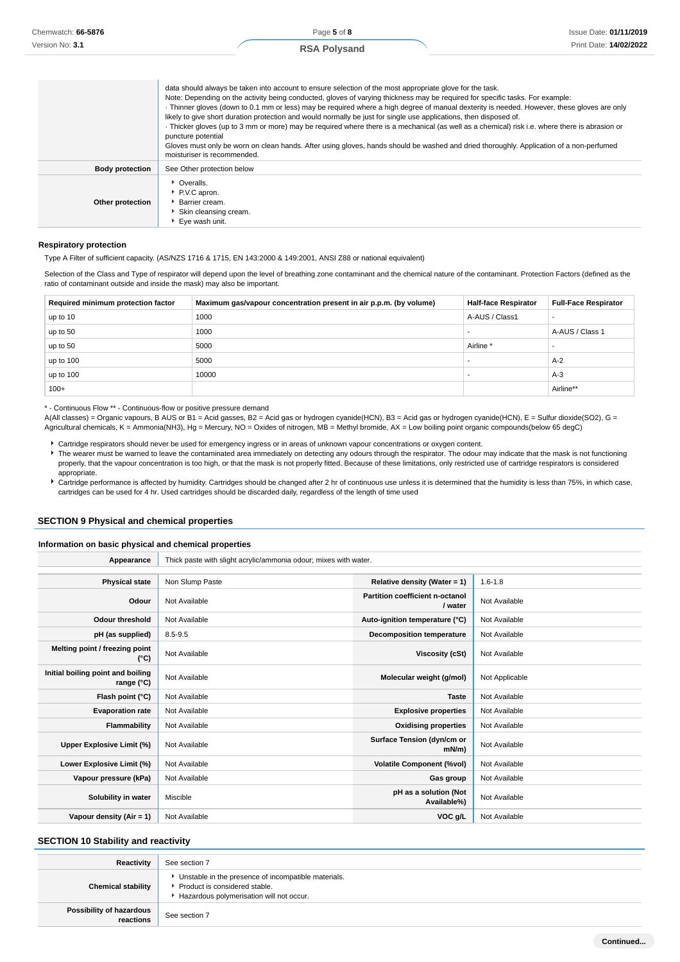|                        | data should always be taken into account to ensure selection of the most appropriate glove for the task.<br>Note: Depending on the activity being conducted, gloves of varying thickness may be required for specific tasks. For example:<br>· Thinner gloves (down to 0.1 mm or less) may be required where a high degree of manual dexterity is needed. However, these gloves are only<br>likely to give short duration protection and would normally be just for single use applications, then disposed of.<br>· Thicker gloves (up to 3 mm or more) may be required where there is a mechanical (as well as a chemical) risk i.e. where there is abrasion or<br>puncture potential<br>Gloves must only be worn on clean hands. After using gloves, hands should be washed and dried thoroughly. Application of a non-perfumed<br>moisturiser is recommended. |
|------------------------|------------------------------------------------------------------------------------------------------------------------------------------------------------------------------------------------------------------------------------------------------------------------------------------------------------------------------------------------------------------------------------------------------------------------------------------------------------------------------------------------------------------------------------------------------------------------------------------------------------------------------------------------------------------------------------------------------------------------------------------------------------------------------------------------------------------------------------------------------------------|
| <b>Body protection</b> | See Other protection below                                                                                                                                                                                                                                                                                                                                                                                                                                                                                                                                                                                                                                                                                                                                                                                                                                       |
| Other protection       | • Overalls.<br>P.V.C apron.<br>Barrier cream.<br>Skin cleansing cream.<br>▶ Eve wash unit.                                                                                                                                                                                                                                                                                                                                                                                                                                                                                                                                                                                                                                                                                                                                                                       |

#### **Respiratory protection**

Type A Filter of sufficient capacity. (AS/NZS 1716 & 1715, EN 143:2000 & 149:2001, ANSI Z88 or national equivalent)

Selection of the Class and Type of respirator will depend upon the level of breathing zone contaminant and the chemical nature of the contaminant. Protection Factors (defined as the ratio of contaminant outside and inside the mask) may also be important.

| Required minimum protection factor | Maximum gas/vapour concentration present in air p.p.m. (by volume) | <b>Half-face Respirator</b> | <b>Full-Face Respirator</b> |
|------------------------------------|--------------------------------------------------------------------|-----------------------------|-----------------------------|
| up to 10                           | 1000                                                               | A-AUS / Class1              |                             |
| up to 50                           | 1000                                                               |                             | A-AUS / Class 1             |
| up to 50                           | 5000                                                               | Airline <sup>*</sup>        |                             |
| up to 100                          | 5000                                                               |                             | $A-2$                       |
| up to 100                          | 10000                                                              |                             | $A-3$                       |
| $100+$                             |                                                                    |                             | Airline**                   |

\* - Continuous Flow \*\* - Continuous-flow or positive pressure demand

A(All classes) = Organic vapours, B AUS or B1 = Acid gasses, B2 = Acid gas or hydrogen cyanide(HCN), B3 = Acid gas or hydrogen cyanide(HCN), E = Sulfur dioxide(SO2), G = Agricultural chemicals, K = Ammonia(NH3), Hg = Mercury, NO = Oxides of nitrogen, MB = Methyl bromide, AX = Low boiling point organic compounds(below 65 degC)

- Cartridge respirators should never be used for emergency ingress or in areas of unknown vapour concentrations or oxygen content.
- The wearer must be warned to leave the contaminated area immediately on detecting any odours through the respirator. The odour may indicate that the mask is not functioning properly, that the vapour concentration is too high, or that the mask is not properly fitted. Because of these limitations, only restricted use of cartridge respirators is considered appropriate.
- Cartridge performance is affected by humidity. Cartridges should be changed after 2 hr of continuous use unless it is determined that the humidity is less than 75%, in which case, cartridges can be used for 4 hr. Used cartridges should be discarded daily, regardless of the length of time used

### **SECTION 9 Physical and chemical properties**

#### **Information on basic physical and chemical properties**

| Appearance                                      | Thick paste with slight acrylic/ammonia odour; mixes with water. |                                            |                |
|-------------------------------------------------|------------------------------------------------------------------|--------------------------------------------|----------------|
|                                                 |                                                                  |                                            |                |
| <b>Physical state</b>                           | Non Slump Paste                                                  | Relative density (Water = $1$ )            | $1.6 - 1.8$    |
| Odour                                           | Not Available                                                    | Partition coefficient n-octanol<br>/ water | Not Available  |
| <b>Odour threshold</b>                          | Not Available                                                    | Auto-ignition temperature (°C)             | Not Available  |
| pH (as supplied)                                | 8.5-9.5                                                          | <b>Decomposition temperature</b>           | Not Available  |
| Melting point / freezing point<br>(°C)          | Not Available                                                    | Viscosity (cSt)                            | Not Available  |
| Initial boiling point and boiling<br>range (°C) | Not Available                                                    | Molecular weight (g/mol)                   | Not Applicable |
| Flash point (°C)                                | Not Available                                                    | <b>Taste</b>                               | Not Available  |
| <b>Evaporation rate</b>                         | Not Available                                                    | <b>Explosive properties</b>                | Not Available  |
| <b>Flammability</b>                             | Not Available                                                    | <b>Oxidising properties</b>                | Not Available  |
| Upper Explosive Limit (%)                       | Not Available                                                    | Surface Tension (dyn/cm or<br>mN/m         | Not Available  |
| Lower Explosive Limit (%)                       | Not Available                                                    | <b>Volatile Component (%vol)</b>           | Not Available  |
| Vapour pressure (kPa)                           | Not Available                                                    | Gas group                                  | Not Available  |
| Solubility in water                             | Miscible                                                         | pH as a solution (Not<br>Available%)       | Not Available  |
| Vapour density $(Air = 1)$                      | Not Available                                                    | VOC g/L                                    | Not Available  |

#### **SECTION 10 Stability and reactivity**

| Reactivity                            | See section 7                                                                                                                        |
|---------------------------------------|--------------------------------------------------------------------------------------------------------------------------------------|
| <b>Chemical stability</b>             | • Unstable in the presence of incompatible materials.<br>▶ Product is considered stable.<br>Hazardous polymerisation will not occur. |
| Possibility of hazardous<br>reactions | See section 7                                                                                                                        |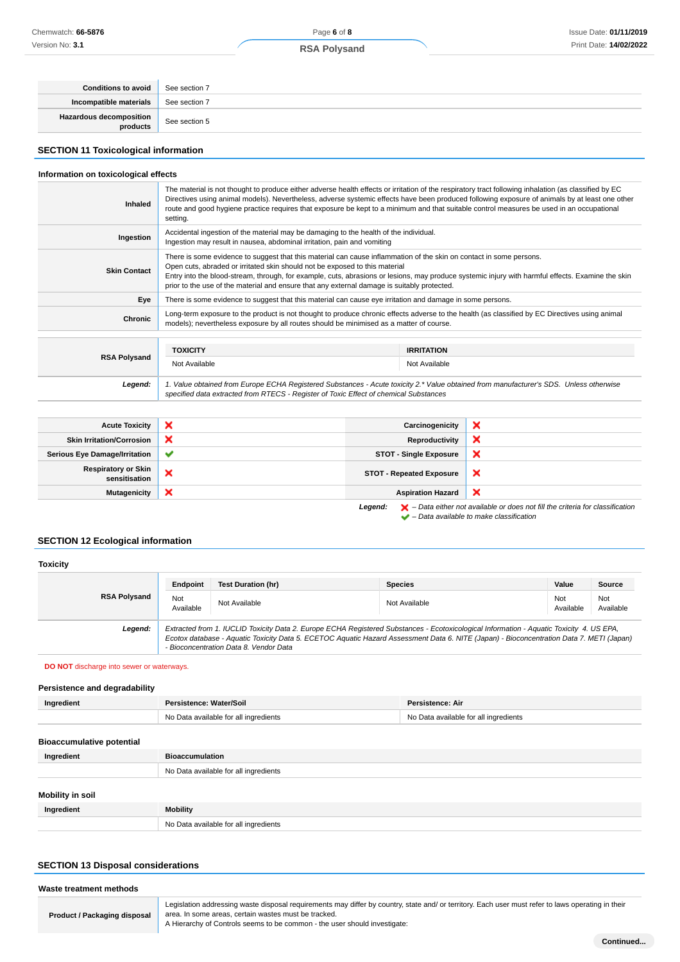| <b>Conditions to avoid</b>                 | See section 7 |
|--------------------------------------------|---------------|
| Incompatible materials                     | See section 7 |
| <b>Hazardous decomposition</b><br>products | See section 5 |

## **SECTION 11 Toxicological information**

#### **Information on toxicological effects**

| The material is not thought to produce either adverse health effects or irritation of the respiratory tract following inhalation (as classified by EC<br>Directives using animal models). Nevertheless, adverse systemic effects have been produced following exposure of animals by at least one other<br>route and good hygiene practice requires that exposure be kept to a minimum and that suitable control measures be used in an occupational<br>setting. |                                    |  |
|------------------------------------------------------------------------------------------------------------------------------------------------------------------------------------------------------------------------------------------------------------------------------------------------------------------------------------------------------------------------------------------------------------------------------------------------------------------|------------------------------------|--|
| Accidental ingestion of the material may be damaging to the health of the individual.<br>Ingestion may result in nausea, abdominal irritation, pain and vomiting                                                                                                                                                                                                                                                                                                 |                                    |  |
| There is some evidence to suggest that this material can cause inflammation of the skin on contact in some persons.<br>Open cuts, abraded or irritated skin should not be exposed to this material<br>Entry into the blood-stream, through, for example, cuts, abrasions or lesions, may produce systemic injury with harmful effects. Examine the skin<br>prior to the use of the material and ensure that any external damage is suitably protected.           |                                    |  |
| There is some evidence to suggest that this material can cause eye irritation and damage in some persons.                                                                                                                                                                                                                                                                                                                                                        |                                    |  |
| Long-term exposure to the product is not thought to produce chronic effects adverse to the health (as classified by EC Directives using animal<br>models); nevertheless exposure by all routes should be minimised as a matter of course.                                                                                                                                                                                                                        |                                    |  |
| <b>TOXICITY</b><br>Not Available                                                                                                                                                                                                                                                                                                                                                                                                                                 | <b>IRRITATION</b><br>Not Available |  |
|                                                                                                                                                                                                                                                                                                                                                                                                                                                                  |                                    |  |

**Legend:** 1. Value obtained from Europe ECHA Registered Substances - Acute toxicity 2.\* Value obtained from manufacturer's SDS. Unless otherwise specified data extracted from RTECS - Register of Toxic Effect of chemical Substances

| <b>Acute Toxicity</b>                       | ×            | Carcinogenicity                 | ж |
|---------------------------------------------|--------------|---------------------------------|---|
| <b>Skin Irritation/Corrosion</b>            | ×            | Reproductivity                  | × |
| <b>Serious Eye Damage/Irritation</b>        | $\checkmark$ | <b>STOT - Single Exposure</b>   | × |
| <b>Respiratory or Skin</b><br>sensitisation | ×            | <b>STOT - Repeated Exposure</b> | × |
| <b>Mutagenicity</b>                         | ×            | <b>Aspiration Hazard</b>        | × |
|                                             |              |                                 |   |

**Legend:** – Data either not available or does not fill the criteria for classification  $\blacktriangleright$  – Data either not available to make classification

## **SECTION 12 Ecological information**

#### **Toxicity RSA Polysand Endpoint Test Duration (hr) Species Value Source** Not Not Not Available Not Available Not Available Not Available Not Available Not Ava<br>Available Ava Available Not Available **Legend:** Extracted from 1. IUCLID Toxicity Data 2. Europe ECHA Registered Substances - Ecotoxicological Information - Aquatic Toxicity 4. US EPA, Ecotox database - Aquatic Toxicity Data 5. ECETOC Aquatic Hazard Assessment Data 6. NITE (Japan) - Bioconcentration Data 7. METI (Japan) - Bioconcentration Data 8. Vendor Data

**DO NOT** discharge into sewer or waterways.

#### **Persistence and degradability**

| Ingredient                       | Persistence: Water/Soil               | Persistence: Air                      |
|----------------------------------|---------------------------------------|---------------------------------------|
|                                  | No Data available for all ingredients | No Data available for all ingredients |
| <b>Bioaccumulative potential</b> |                                       |                                       |
|                                  | $ -$<br>.                             |                                       |

| Ingredient       | <b>Bioaccumulation</b>                |
|------------------|---------------------------------------|
|                  | No Data available for all ingredients |
| Mobility in soil |                                       |
| Ingredient       | <b>Mobility</b>                       |
|                  | No Data available for all ingredients |

#### **SECTION 13 Disposal considerations**

| Waste treatment methods      |                                                                                                                                                                                                                                                                                         |
|------------------------------|-----------------------------------------------------------------------------------------------------------------------------------------------------------------------------------------------------------------------------------------------------------------------------------------|
| Product / Packaging disposal | Legislation addressing waste disposal requirements may differ by country, state and/ or territory. Each user must refer to laws operating in their<br>area. In some areas, certain wastes must be tracked.<br>A Hierarchy of Controls seems to be common - the user should investigate: |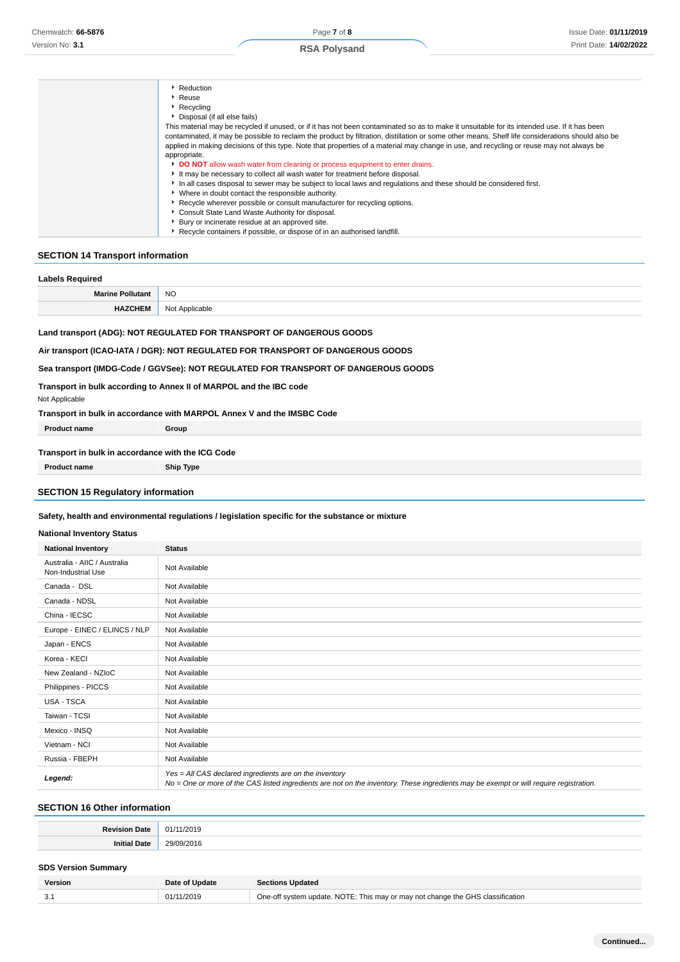| Reduction                                                                                                                                         |
|---------------------------------------------------------------------------------------------------------------------------------------------------|
| Reuse                                                                                                                                             |
| $\triangleright$ Recycling                                                                                                                        |
| Disposal (if all else fails)                                                                                                                      |
| This material may be recycled if unused, or if it has not been contaminated so as to make it unsuitable for its intended use. If it has been      |
| contaminated, it may be possible to reclaim the product by filtration, distillation or some other means. Shelf life considerations should also be |
| applied in making decisions of this type. Note that properties of a material may change in use, and recycling or reuse may not always be          |
| appropriate.                                                                                                                                      |
| DO NOT allow wash water from cleaning or process equipment to enter drains.                                                                       |
| It may be necessary to collect all wash water for treatment before disposal.                                                                      |
| In all cases disposal to sewer may be subject to local laws and regulations and these should be considered first.                                 |
| ▶ Where in doubt contact the responsible authority.                                                                                               |
| Recycle wherever possible or consult manufacturer for recycling options.                                                                          |
| Consult State Land Waste Authority for disposal.                                                                                                  |
| Bury or incinerate residue at an approved site.                                                                                                   |
| Recycle containers if possible, or dispose of in an authorised landfill.                                                                          |
|                                                                                                                                                   |

## **SECTION 14 Transport information**

| <b>Labels Required</b>  |                                                                                                                                                                                                                                                                                                                     |  |  |  |
|-------------------------|---------------------------------------------------------------------------------------------------------------------------------------------------------------------------------------------------------------------------------------------------------------------------------------------------------------------|--|--|--|
| <b>Marine Pollutant</b> | NO.                                                                                                                                                                                                                                                                                                                 |  |  |  |
| <b>HAZCHEM</b>          | Not Applicable                                                                                                                                                                                                                                                                                                      |  |  |  |
| Not Applicable          | Land transport (ADG): NOT REGULATED FOR TRANSPORT OF DANGEROUS GOODS<br>Air transport (ICAO-IATA / DGR): NOT REGULATED FOR TRANSPORT OF DANGEROUS GOODS<br>Sea transport (IMDG-Code / GGVSee): NOT REGULATED FOR TRANSPORT OF DANGEROUS GOODS<br>Transport in bulk according to Annex II of MARPOL and the IBC code |  |  |  |

**Transport in bulk in accordance with MARPOL Annex V and the IMSBC Code**

| <b>Product name</b>                               | Group |  |
|---------------------------------------------------|-------|--|
| Transport in bulk in accordance with the ICG Code |       |  |

**Product name Ship Type**

# **SECTION 15 Regulatory information**

#### **Safety, health and environmental regulations / legislation specific for the substance or mixture**

## **National Inventory Status**

| ranonar mychiory olatas                            |                                                                                                                                                                                                   |  |  |  |
|----------------------------------------------------|---------------------------------------------------------------------------------------------------------------------------------------------------------------------------------------------------|--|--|--|
| <b>National Inventory</b>                          | <b>Status</b>                                                                                                                                                                                     |  |  |  |
| Australia - AIIC / Australia<br>Non-Industrial Use | Not Available                                                                                                                                                                                     |  |  |  |
| Canada - DSL                                       | Not Available                                                                                                                                                                                     |  |  |  |
| Canada - NDSL                                      | Not Available                                                                                                                                                                                     |  |  |  |
| China - IECSC                                      | Not Available                                                                                                                                                                                     |  |  |  |
| Europe - EINEC / ELINCS / NLP                      | Not Available                                                                                                                                                                                     |  |  |  |
| Japan - ENCS                                       | Not Available                                                                                                                                                                                     |  |  |  |
| Korea - KECI                                       | Not Available                                                                                                                                                                                     |  |  |  |
| New Zealand - NZIoC                                | Not Available                                                                                                                                                                                     |  |  |  |
| Philippines - PICCS                                | Not Available                                                                                                                                                                                     |  |  |  |
| USA - TSCA                                         | Not Available                                                                                                                                                                                     |  |  |  |
| Taiwan - TCSI                                      | Not Available                                                                                                                                                                                     |  |  |  |
| Mexico - INSQ                                      | Not Available                                                                                                                                                                                     |  |  |  |
| Vietnam - NCI                                      | Not Available                                                                                                                                                                                     |  |  |  |
| Russia - FBEPH                                     | Not Available                                                                                                                                                                                     |  |  |  |
| Legend:                                            | Yes = All CAS declared ingredients are on the inventory<br>No = One or more of the CAS listed ingredients are not on the inventory. These ingredients may be exempt or will require registration. |  |  |  |

## **SECTION 16 Other information**

|            | $\cdots$ |
|------------|----------|
| ীরা⊨<br>nı | ~~       |

## **SDS Version Summary**

| Version | Date of Update | <b>Sections Updated</b>                                                        |
|---------|----------------|--------------------------------------------------------------------------------|
|         | 01/11/2019     | One-off system update. NOTE: This may or may not change the GHS classification |